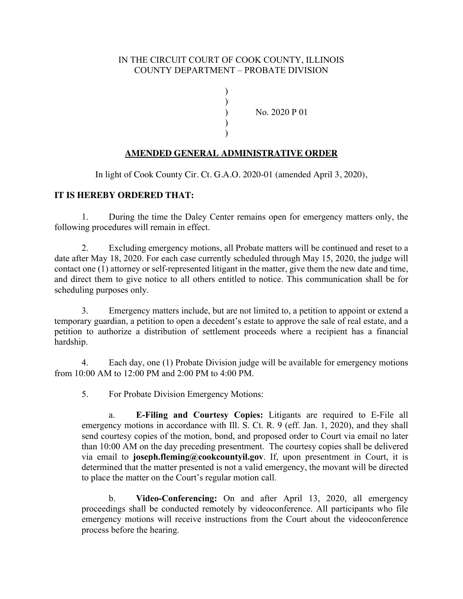## IN THE CIRCUIT COURT OF COOK COUNTY, ILLINOIS COUNTY DEPARTMENT – PROBATE DIVISION

)

 $\left\{ \begin{array}{c} 1 \\ 2 \end{array} \right\}$ 

) ) ) No. 2020 P 01

## **AMENDED GENERAL ADMINISTRATIVE ORDER**

In light of Cook County Cir. Ct. G.A.O. 2020-01 (amended April 3, 2020),

## **IT IS HEREBY ORDERED THAT:**

1. During the time the Daley Center remains open for emergency matters only, the following procedures will remain in effect.

2. Excluding emergency motions, all Probate matters will be continued and reset to a date after May 18, 2020. For each case currently scheduled through May 15, 2020, the judge will contact one (1) attorney or self-represented litigant in the matter, give them the new date and time, and direct them to give notice to all others entitled to notice. This communication shall be for scheduling purposes only.

3. Emergency matters include, but are not limited to, a petition to appoint or extend a temporary guardian, a petition to open a decedent's estate to approve the sale of real estate, and a petition to authorize a distribution of settlement proceeds where a recipient has a financial hardship.

4. Each day, one (1) Probate Division judge will be available for emergency motions from 10:00 AM to 12:00 PM and 2:00 PM to 4:00 PM.

5. For Probate Division Emergency Motions:

a. **E-Filing and Courtesy Copies:** Litigants are required to E-File all emergency motions in accordance with Ill. S. Ct. R. 9 (eff. Jan. 1, 2020), and they shall send courtesy copies of the motion, bond, and proposed order to Court via email no later than 10:00 AM on the day preceding presentment. The courtesy copies shall be delivered via email to **joseph.fleming@cookcountyil.gov**. If, upon presentment in Court, it is determined that the matter presented is not a valid emergency, the movant will be directed to place the matter on the Court's regular motion call.

b. **Video-Conferencing:** On and after April 13, 2020, all emergency proceedings shall be conducted remotely by videoconference. All participants who file emergency motions will receive instructions from the Court about the videoconference process before the hearing.